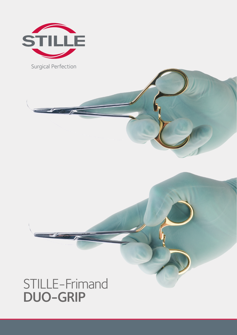

STILLE-Frimand DUO-GRIP